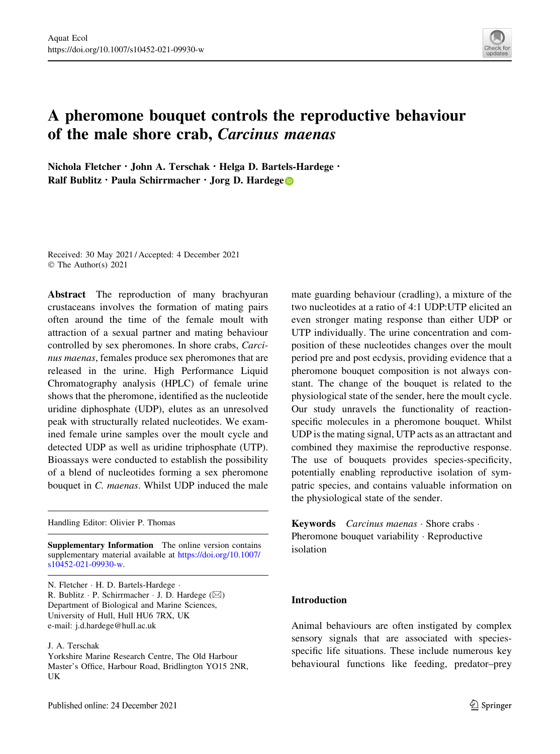

# A pheromone bouquet controls the reproductive behaviour of the male shore crab, Carcinus maenas

Nichola Fletcher · John A. Terschak · Helga D. Bartels-Hardege · Ralf Bublitz · Paula Schirrmacher · Jorg D. Hardege

Received: 30 May 2021 / Accepted: 4 December 2021 © The Author(s) 2021

Abstract The reproduction of many brachyuran crustaceans involves the formation of mating pairs often around the time of the female moult with attraction of a sexual partner and mating behaviour controlled by sex pheromones. In shore crabs, Carcinus maenas, females produce sex pheromones that are released in the urine. High Performance Liquid Chromatography analysis (HPLC) of female urine shows that the pheromone, identified as the nucleotide uridine diphosphate (UDP), elutes as an unresolved peak with structurally related nucleotides. We examined female urine samples over the moult cycle and detected UDP as well as uridine triphosphate (UTP). Bioassays were conducted to establish the possibility of a blend of nucleotides forming a sex pheromone bouquet in C. maenas. Whilst UDP induced the male

Handling Editor: Olivier P. Thomas

Supplementary Information The online version contains supplementary material available at [https://doi.org/10.1007/](https://doi.org/10.1007/s10452-021-09930-w) [s10452-021-09930-w](https://doi.org/10.1007/s10452-021-09930-w).

N. Fletcher · H. D. Bartels-Hardege · R. Bublitz · P. Schirrmacher · J. D. Hardege (⊠) Department of Biological and Marine Sciences, University of Hull, Hull HU6 7RX, UK e-mail: j.d.hardege@hull.ac.uk

J. A. Terschak

Yorkshire Marine Research Centre, The Old Harbour Master's Office, Harbour Road, Bridlington YO15 2NR, UK

mate guarding behaviour (cradling), a mixture of the two nucleotides at a ratio of 4:1 UDP:UTP elicited an even stronger mating response than either UDP or UTP individually. The urine concentration and composition of these nucleotides changes over the moult period pre and post ecdysis, providing evidence that a pheromone bouquet composition is not always constant. The change of the bouquet is related to the physiological state of the sender, here the moult cycle. Our study unravels the functionality of reactionspecific molecules in a pheromone bouquet. Whilst UDP is the mating signal, UTP acts as an attractant and combined they maximise the reproductive response. The use of bouquets provides species-specificity, potentially enabling reproductive isolation of sympatric species, and contains valuable information on the physiological state of the sender.

Keywords Carcinus maenas · Shore crabs · Pheromone bouquet variability · Reproductive isolation

# Introduction

Animal behaviours are often instigated by complex sensory signals that are associated with speciesspecific life situations. These include numerous key behavioural functions like feeding, predator–prey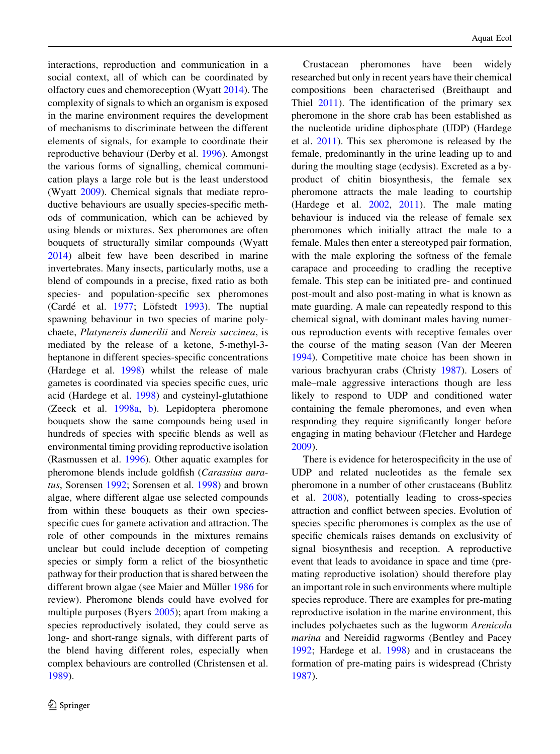interactions, reproduction and communication in a social context, all of which can be coordinated by olfactory cues and chemoreception (Wyatt [2014\)](#page-8-0). The complexity of signals to which an organism is exposed in the marine environment requires the development of mechanisms to discriminate between the different elements of signals, for example to coordinate their reproductive behaviour (Derby et al. [1996\)](#page-7-0). Amongst the various forms of signalling, chemical communication plays a large role but is the least understood (Wyatt [2009\)](#page-8-0). Chemical signals that mediate reproductive behaviours are usually species-specific methods of communication, which can be achieved by using blends or mixtures. Sex pheromones are often bouquets of structurally similar compounds (Wyatt [2014\)](#page-8-0) albeit few have been described in marine invertebrates. Many insects, particularly moths, use a blend of compounds in a precise, fixed ratio as both species- and population-specific sex pheromones (Cardé et al. [1977;](#page-7-0) Löfstedt [1993\)](#page-8-0). The nuptial spawning behaviour in two species of marine polychaete, Platynereis dumerilii and Nereis succinea, is mediated by the release of a ketone, 5-methyl-3 heptanone in different species-specific concentrations (Hardege et al. [1998](#page-8-0)) whilst the release of male gametes is coordinated via species specific cues, uric acid (Hardege et al. [1998](#page-8-0)) and cysteinyl-glutathione (Zeeck et al. [1998a,](#page-8-0) [b\)](#page-8-0). Lepidoptera pheromone bouquets show the same compounds being used in hundreds of species with specific blends as well as environmental timing providing reproductive isolation (Rasmussen et al. [1996\)](#page-8-0). Other aquatic examples for pheromone blends include goldfish (Carassius auratus, Sorensen [1992;](#page-8-0) Sorensen et al. [1998\)](#page-8-0) and brown algae, where different algae use selected compounds from within these bouquets as their own speciesspecific cues for gamete activation and attraction. The role of other compounds in the mixtures remains unclear but could include deception of competing species or simply form a relict of the biosynthetic pathway for their production that is shared between the different brown algae (see Maier and Müller [1986](#page-8-0) for review). Pheromone blends could have evolved for multiple purposes (Byers [2005\)](#page-7-0); apart from making a species reproductively isolated, they could serve as long- and short-range signals, with different parts of the blend having different roles, especially when complex behaviours are controlled (Christensen et al. [1989\)](#page-7-0).

Crustacean pheromones have been widely researched but only in recent years have their chemical compositions been characterised (Breithaupt and Thiel [2011\)](#page-7-0). The identification of the primary sex pheromone in the shore crab has been established as the nucleotide uridine diphosphate (UDP) (Hardege et al. [2011\)](#page-8-0). This sex pheromone is released by the female, predominantly in the urine leading up to and during the moulting stage (ecdysis). Excreted as a byproduct of chitin biosynthesis, the female sex pheromone attracts the male leading to courtship (Hardege et al. [2002,](#page-8-0) [2011](#page-8-0)). The male mating behaviour is induced via the release of female sex pheromones which initially attract the male to a female. Males then enter a stereotyped pair formation, with the male exploring the softness of the female carapace and proceeding to cradling the receptive female. This step can be initiated pre- and continued post-moult and also post-mating in what is known as mate guarding. A male can repeatedly respond to this chemical signal, with dominant males having numerous reproduction events with receptive females over the course of the mating season (Van der Meeren [1994\)](#page-8-0). Competitive mate choice has been shown in various brachyuran crabs (Christy [1987\)](#page-7-0). Losers of male–male aggressive interactions though are less likely to respond to UDP and conditioned water containing the female pheromones, and even when responding they require significantly longer before engaging in mating behaviour (Fletcher and Hardege [2009\)](#page-8-0).

There is evidence for heterospecificity in the use of UDP and related nucleotides as the female sex pheromone in a number of other crustaceans (Bublitz et al. [2008](#page-7-0)), potentially leading to cross-species attraction and conflict between species. Evolution of species specific pheromones is complex as the use of specific chemicals raises demands on exclusivity of signal biosynthesis and reception. A reproductive event that leads to avoidance in space and time (premating reproductive isolation) should therefore play an important role in such environments where multiple species reproduce. There are examples for pre-mating reproductive isolation in the marine environment, this includes polychaetes such as the lugworm Arenicola marina and Nereidid ragworms (Bentley and Pacey [1992;](#page-7-0) Hardege et al. [1998](#page-8-0)) and in crustaceans the formation of pre-mating pairs is widespread (Christy [1987\)](#page-7-0).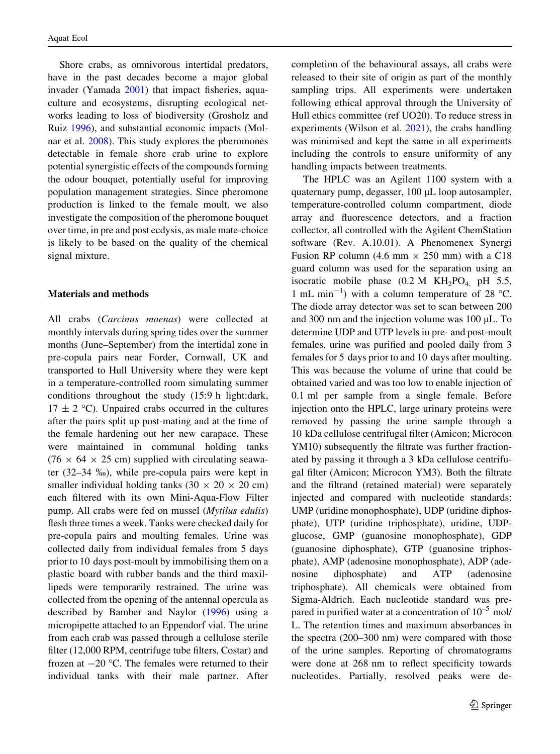Shore crabs, as omnivorous intertidal predators, have in the past decades become a major global invader (Yamada [2001\)](#page-8-0) that impact fisheries, aquaculture and ecosystems, disrupting ecological networks leading to loss of biodiversity (Grosholz and Ruiz [1996](#page-8-0)), and substantial economic impacts (Molnar et al. [2008](#page-8-0)). This study explores the pheromones detectable in female shore crab urine to explore potential synergistic effects of the compounds forming the odour bouquet, potentially useful for improving population management strategies. Since pheromone production is linked to the female moult, we also investigate the composition of the pheromone bouquet over time, in pre and post ecdysis, as male mate-choice is likely to be based on the quality of the chemical signal mixture.

## Materials and methods

All crabs (Carcinus maenas) were collected at monthly intervals during spring tides over the summer months (June–September) from the intertidal zone in pre-copula pairs near Forder, Cornwall, UK and transported to Hull University where they were kept in a temperature-controlled room simulating summer conditions throughout the study (15:9 h light:dark,  $17 \pm 2$  °C). Unpaired crabs occurred in the cultures after the pairs split up post-mating and at the time of the female hardening out her new carapace. These were maintained in communal holding tanks  $(76 \times 64 \times 25$  cm) supplied with circulating seawater (32–34 %), while pre-copula pairs were kept in smaller individual holding tanks  $(30 \times 20 \times 20 \text{ cm})$ each filtered with its own Mini-Aqua-Flow Filter pump. All crabs were fed on mussel (Mytilus edulis) flesh three times a week. Tanks were checked daily for pre-copula pairs and moulting females. Urine was collected daily from individual females from 5 days prior to 10 days post-moult by immobilising them on a plastic board with rubber bands and the third maxillipeds were temporarily restrained. The urine was collected from the opening of the antennal opercula as described by Bamber and Naylor [\(1996](#page-7-0)) using a micropipette attached to an Eppendorf vial. The urine from each crab was passed through a cellulose sterile filter (12,000 RPM, centrifuge tube filters, Costar) and frozen at  $-20$  °C. The females were returned to their individual tanks with their male partner. After

completion of the behavioural assays, all crabs were released to their site of origin as part of the monthly sampling trips. All experiments were undertaken following ethical approval through the University of Hull ethics committee (ref UO20). To reduce stress in experiments (Wilson et al. [2021](#page-8-0)), the crabs handling was minimised and kept the same in all experiments including the controls to ensure uniformity of any handling impacts between treatments.

The HPLC was an Agilent 1100 system with a quaternary pump, degasser,  $100 \mu L$  loop autosampler, temperature-controlled column compartment, diode array and fluorescence detectors, and a fraction collector, all controlled with the Agilent ChemStation software (Rev. A.10.01). A Phenomenex Synergi Fusion RP column (4.6 mm  $\times$  250 mm) with a C18 guard column was used for the separation using an isocratic mobile phase  $(0.2 \text{ M } KH<sub>2</sub>PO<sub>4</sub>$  pH 5.5, 1 mL min<sup>-1</sup>) with a column temperature of 28 °C. The diode array detector was set to scan between 200 and 300 nm and the injection volume was  $100 \mu L$ . To determine UDP and UTP levels in pre- and post-moult females, urine was purified and pooled daily from 3 females for 5 days prior to and 10 days after moulting. This was because the volume of urine that could be obtained varied and was too low to enable injection of 0.1 ml per sample from a single female. Before injection onto the HPLC, large urinary proteins were removed by passing the urine sample through a 10 kDa cellulose centrifugal filter (Amicon; Microcon YM10) subsequently the filtrate was further fractionated by passing it through a 3 kDa cellulose centrifugal filter (Amicon; Microcon YM3). Both the filtrate and the filtrand (retained material) were separately injected and compared with nucleotide standards: UMP (uridine monophosphate), UDP (uridine diphosphate), UTP (uridine triphosphate), uridine, UDPglucose, GMP (guanosine monophosphate), GDP (guanosine diphosphate), GTP (guanosine triphosphate), AMP (adenosine monophosphate), ADP (adenosine diphosphate) and ATP (adenosine triphosphate). All chemicals were obtained from Sigma-Aldrich. Each nucleotide standard was prepared in purified water at a concentration of  $10^{-5}$  mol/ L. The retention times and maximum absorbances in the spectra (200–300 nm) were compared with those of the urine samples. Reporting of chromatograms were done at 268 nm to reflect specificity towards nucleotides. Partially, resolved peaks were de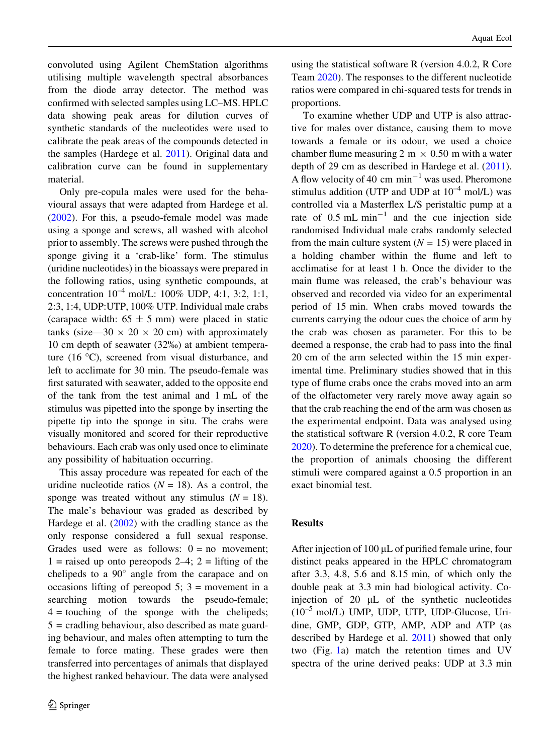convoluted using Agilent ChemStation algorithms utilising multiple wavelength spectral absorbances from the diode array detector. The method was confirmed with selected samples using LC–MS. HPLC data showing peak areas for dilution curves of synthetic standards of the nucleotides were used to calibrate the peak areas of the compounds detected in the samples (Hardege et al. [2011\)](#page-8-0). Original data and calibration curve can be found in supplementary material.

Only pre-copula males were used for the behavioural assays that were adapted from Hardege et al. [\(2002](#page-8-0)). For this, a pseudo-female model was made using a sponge and screws, all washed with alcohol prior to assembly. The screws were pushed through the sponge giving it a 'crab-like' form. The stimulus (uridine nucleotides) in the bioassays were prepared in the following ratios, using synthetic compounds, at concentration  $10^{-4}$  mol/L:  $100\%$  UDP, 4:1, 3:2, 1:1, 2:3, 1:4, UDP:UTP, 100% UTP. Individual male crabs (carapace width:  $65 \pm 5$  mm) were placed in static tanks (size—30  $\times$  20  $\times$  20 cm) with approximately 10 cm depth of seawater (32%) at ambient temperature  $(16 \degree C)$ , screened from visual disturbance, and left to acclimate for 30 min. The pseudo-female was first saturated with seawater, added to the opposite end of the tank from the test animal and 1 mL of the stimulus was pipetted into the sponge by inserting the pipette tip into the sponge in situ. The crabs were visually monitored and scored for their reproductive behaviours. Each crab was only used once to eliminate any possibility of habituation occurring.

This assay procedure was repeated for each of the uridine nucleotide ratios ( $N = 18$ ). As a control, the sponge was treated without any stimulus  $(N = 18)$ . The male's behaviour was graded as described by Hardege et al. ([2002\)](#page-8-0) with the cradling stance as the only response considered a full sexual response. Grades used were as follows:  $0 = no$  movement;  $1 =$  raised up onto pereopods  $2-4$ ;  $2 =$  lifting of the chelipeds to a  $90^\circ$  angle from the carapace and on occasions lifting of pereopod 5;  $3 =$  movement in a searching motion towards the pseudo-female;  $4 =$  touching of the sponge with the chelipeds;  $5 =$  cradling behaviour, also described as mate guarding behaviour, and males often attempting to turn the female to force mating. These grades were then transferred into percentages of animals that displayed the highest ranked behaviour. The data were analysed using the statistical software R (version 4.0.2, R Core Team [2020](#page-8-0)). The responses to the different nucleotide ratios were compared in chi-squared tests for trends in proportions.

To examine whether UDP and UTP is also attractive for males over distance, causing them to move towards a female or its odour, we used a choice chamber flume measuring 2 m  $\times$  0.50 m with a water depth of 29 cm as described in Hardege et al. ([2011](#page-8-0)). A flow velocity of 40 cm  $min^{-1}$  was used. Pheromone stimulus addition (UTP and UDP at  $10^{-4}$  mol/L) was controlled via a Masterflex L/S peristaltic pump at a rate of  $0.5$  mL min<sup>-1</sup> and the cue injection side randomised Individual male crabs randomly selected from the main culture system  $(N = 15)$  were placed in a holding chamber within the flume and left to acclimatise for at least 1 h. Once the divider to the main flume was released, the crab's behaviour was observed and recorded via video for an experimental period of 15 min. When crabs moved towards the currents carrying the odour cues the choice of arm by the crab was chosen as parameter. For this to be deemed a response, the crab had to pass into the final 20 cm of the arm selected within the 15 min experimental time. Preliminary studies showed that in this type of flume crabs once the crabs moved into an arm of the olfactometer very rarely move away again so that the crab reaching the end of the arm was chosen as the experimental endpoint. Data was analysed using the statistical software R (version 4.0.2, R core Team [2020\)](#page-8-0). To determine the preference for a chemical cue, the proportion of animals choosing the different stimuli were compared against a 0.5 proportion in an exact binomial test.

# **Results**

After injection of  $100 \mu L$  of purified female urine, four distinct peaks appeared in the HPLC chromatogram after 3.3, 4.8, 5.6 and 8.15 min, of which only the double peak at 3.3 min had biological activity. Coinjection of  $20 \mu L$  of the synthetic nucleotides  $(10^{-5} \text{ mol/L})$  UMP, UDP, UTP, UDP-Glucose, Uridine, GMP, GDP, GTP, AMP, ADP and ATP (as described by Hardege et al. [2011\)](#page-8-0) showed that only two (Fig. [1](#page-4-0)a) match the retention times and UV spectra of the urine derived peaks: UDP at 3.3 min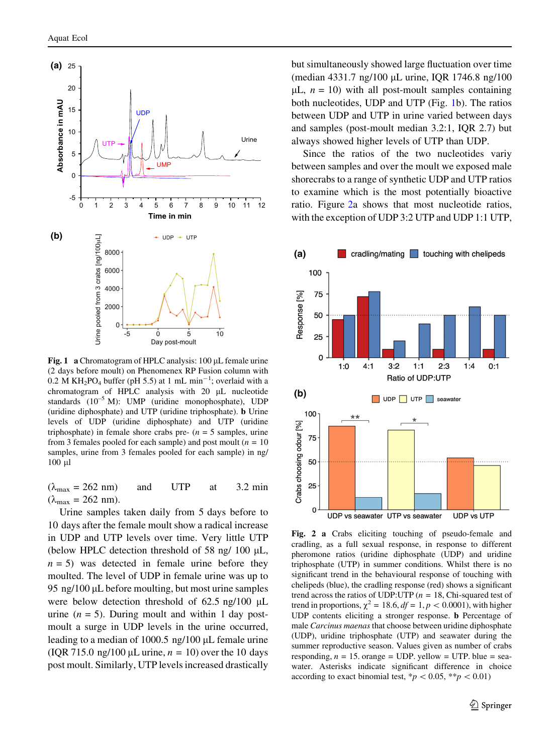<span id="page-4-0"></span>

Fig. 1 a Chromatogram of HPLC analysis:  $100 \mu L$  female urine (2 days before moult) on Phenomenex RP Fusion column with 0.2 M KH<sub>2</sub>PO<sub>4</sub> buffer (pH 5.5) at 1 mL min<sup>-1</sup>; overlaid with a chromatogram of HPLC analysis with  $20$   $\mu$ L nucleotide standards (10<sup>-5</sup> M): UMP (uridine monophosphate), UDP (uridine diphosphate) and UTP (uridine triphosphate). b Urine levels of UDP (uridine diphosphate) and UTP (uridine triphosphate) in female shore crabs pre-  $(n = 5 \text{ samples}, \text{urine})$ from 3 females pooled for each sample) and post moult  $(n = 10$ samples, urine from 3 females pooled for each sample) in ng/ 100 ll

 $(\lambda_{\text{max}} = 262 \text{ nm})$  and UTP at 3.2 min  $(\lambda_{\text{max}} = 262 \text{ nm}).$ 

Urine samples taken daily from 5 days before to 10 days after the female moult show a radical increase in UDP and UTP levels over time. Very little UTP (below HPLC detection threshold of 58 ng/ 100  $\mu$ L,  $n = 5$ ) was detected in female urine before they moulted. The level of UDP in female urine was up to 95 ng/100  $\mu$ L before moulting, but most urine samples were below detection threshold of  $62.5 \text{ ng}/100 \mu\text{L}$ urine  $(n = 5)$ . During moult and within 1 day postmoult a surge in UDP levels in the urine occurred, leading to a median of  $1000.5$  ng/ $100 \mu$ L female urine (IQR 715.0 ng/100  $\mu$ L urine,  $n = 10$ ) over the 10 days post moult. Similarly, UTP levels increased drastically but simultaneously showed large fluctuation over time (median 4331.7 ng/100 µL urine, IQR 1746.8 ng/100  $\mu$ L,  $n = 10$ ) with all post-moult samples containing both nucleotides, UDP and UTP (Fig. 1b). The ratios between UDP and UTP in urine varied between days and samples (post-moult median 3.2:1, IQR 2.7) but always showed higher levels of UTP than UDP.

Since the ratios of the two nucleotides variy between samples and over the moult we exposed male shorecrabs to a range of synthetic UDP and UTP ratios to examine which is the most potentially bioactive ratio. Figure 2a shows that most nucleotide ratios, with the exception of UDP 3:2 UTP and UDP 1:1 UTP,



Fig. 2 a Crabs eliciting touching of pseudo-female and cradling, as a full sexual response, in response to different pheromone ratios (uridine diphosphate (UDP) and uridine triphosphate (UTP) in summer conditions. Whilst there is no significant trend in the behavioural response of touching with chelipeds (blue), the cradling response (red) shows a significant trend across the ratios of UDP:UTP ( $n = 18$ , Chi-squared test of trend in proportions,  $\chi^2 = 18.6$ ,  $df = 1$ ,  $p < 0.0001$ ), with higher UDP contents eliciting a stronger response. b Percentage of male Carcinus maenas that choose between uridine diphosphate (UDP), uridine triphosphate (UTP) and seawater during the summer reproductive season. Values given as number of crabs responding,  $n = 15$ . orange = UDP. yellow = UTP. blue = seawater. Asterisks indicate significant difference in choice according to exact binomial test,  $*p < 0.05, **p < 0.01$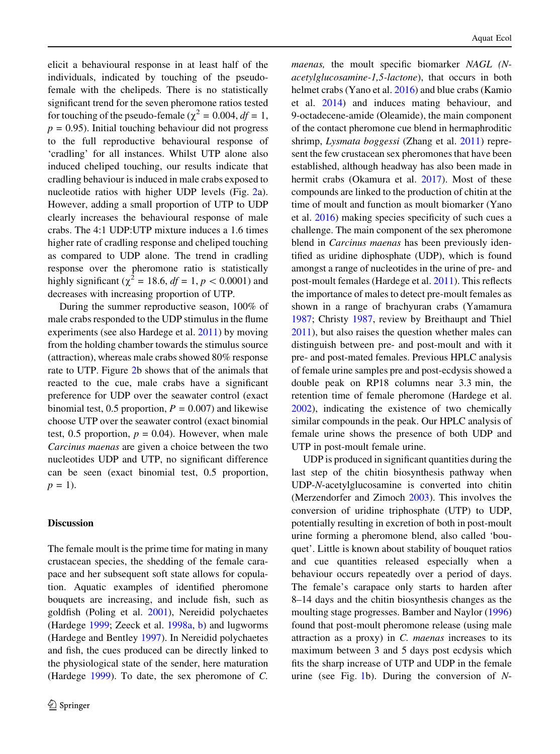elicit a behavioural response in at least half of the individuals, indicated by touching of the pseudofemale with the chelipeds. There is no statistically significant trend for the seven pheromone ratios tested for touching of the pseudo-female ( $\chi^2 = 0.004$ ,  $df = 1$ ,  $p = 0.95$ ). Initial touching behaviour did not progress to the full reproductive behavioural response of 'cradling' for all instances. Whilst UTP alone also induced cheliped touching, our results indicate that cradling behaviour is induced in male crabs exposed to nucleotide ratios with higher UDP levels (Fig. [2a](#page-4-0)). However, adding a small proportion of UTP to UDP clearly increases the behavioural response of male crabs. The 4:1 UDP:UTP mixture induces a 1.6 times higher rate of cradling response and cheliped touching as compared to UDP alone. The trend in cradling response over the pheromone ratio is statistically highly significant ( $\chi^2 = 18.6$ ,  $df = 1$ ,  $p < 0.0001$ ) and decreases with increasing proportion of UTP.

During the summer reproductive season, 100% of male crabs responded to the UDP stimulus in the flume experiments (see also Hardege et al. [2011](#page-8-0)) by moving from the holding chamber towards the stimulus source (attraction), whereas male crabs showed 80% response rate to UTP. Figure [2b](#page-4-0) shows that of the animals that reacted to the cue, male crabs have a significant preference for UDP over the seawater control (exact binomial test, 0.5 proportion,  $P = 0.007$ ) and likewise choose UTP over the seawater control (exact binomial test, 0.5 proportion,  $p = 0.04$ ). However, when male Carcinus maenas are given a choice between the two nucleotides UDP and UTP, no significant difference can be seen (exact binomial test, 0.5 proportion,  $p = 1$ ).

## Discussion

The female moult is the prime time for mating in many crustacean species, the shedding of the female carapace and her subsequent soft state allows for copulation. Aquatic examples of identified pheromone bouquets are increasing, and include fish, such as goldfish (Poling et al. [2001](#page-8-0)), Nereidid polychaetes (Hardege [1999;](#page-8-0) Zeeck et al. [1998a,](#page-8-0) [b](#page-8-0)) and lugworms (Hardege and Bentley [1997\)](#page-8-0). In Nereidid polychaetes and fish, the cues produced can be directly linked to the physiological state of the sender, here maturation (Hardege  $1999$ ). To date, the sex pheromone of C.

maenas, the moult specific biomarker NAGL (Nacetylglucosamine-1,5-lactone), that occurs in both helmet crabs (Yano et al. [2016](#page-8-0)) and blue crabs (Kamio et al. [2014\)](#page-8-0) and induces mating behaviour, and 9-octadecene-amide (Oleamide), the main component of the contact pheromone cue blend in hermaphroditic shrimp, Lysmata boggessi (Zhang et al. [2011\)](#page-8-0) represent the few crustacean sex pheromones that have been established, although headway has also been made in hermit crabs (Okamura et al. [2017\)](#page-8-0). Most of these compounds are linked to the production of chitin at the time of moult and function as moult biomarker (Yano et al. [2016\)](#page-8-0) making species specificity of such cues a challenge. The main component of the sex pheromone blend in *Carcinus maenas* has been previously identified as uridine diphosphate (UDP), which is found amongst a range of nucleotides in the urine of pre- and post-moult females (Hardege et al. [2011\)](#page-8-0). This reflects the importance of males to detect pre-moult females as shown in a range of brachyuran crabs (Yamamura [1987;](#page-8-0) Christy [1987](#page-7-0), review by Breithaupt and Thiel [2011\)](#page-7-0), but also raises the question whether males can distinguish between pre- and post-moult and with it pre- and post-mated females. Previous HPLC analysis of female urine samples pre and post-ecdysis showed a double peak on RP18 columns near 3.3 min, the retention time of female pheromone (Hardege et al. [2002\)](#page-8-0), indicating the existence of two chemically similar compounds in the peak. Our HPLC analysis of female urine shows the presence of both UDP and UTP in post-moult female urine.

UDP is produced in significant quantities during the last step of the chitin biosynthesis pathway when UDP-N-acetylglucosamine is converted into chitin (Merzendorfer and Zimoch [2003\)](#page-8-0). This involves the conversion of uridine triphosphate (UTP) to UDP, potentially resulting in excretion of both in post-moult urine forming a pheromone blend, also called 'bouquet'. Little is known about stability of bouquet ratios and cue quantities released especially when a behaviour occurs repeatedly over a period of days. The female's carapace only starts to harden after 8–14 days and the chitin biosynthesis changes as the moulting stage progresses. Bamber and Naylor ([1996\)](#page-7-0) found that post-moult pheromone release (using male attraction as a proxy) in  $C$ . *maenas* increases to its maximum between 3 and 5 days post ecdysis which fits the sharp increase of UTP and UDP in the female urine (see Fig. [1](#page-4-0)b). During the conversion of  $N$ -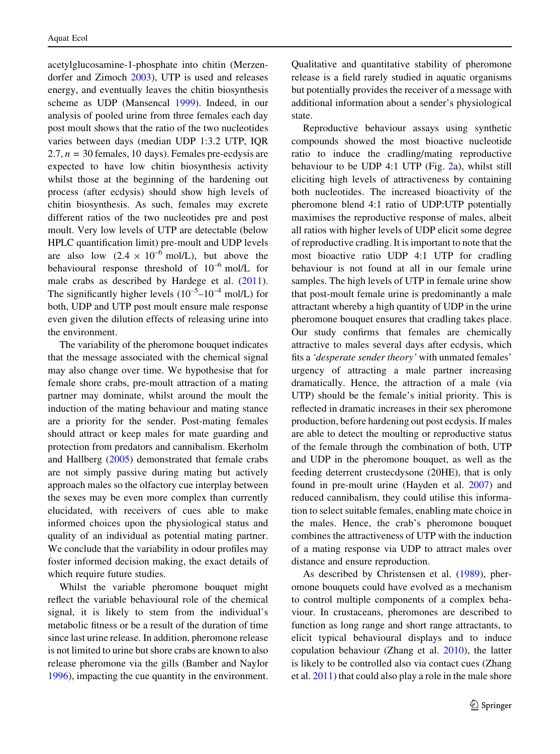acetylglucosamine-1-phosphate into chitin (Merzendorfer and Zimoch [2003\)](#page-8-0), UTP is used and releases energy, and eventually leaves the chitin biosynthesis scheme as UDP (Mansencal [1999\)](#page-8-0). Indeed, in our analysis of pooled urine from three females each day post moult shows that the ratio of the two nucleotides varies between days (median UDP 1:3.2 UTP, IQR  $2.7, n = 30$  females, 10 days). Females pre-ecdysis are expected to have low chitin biosynthesis activity whilst those at the beginning of the hardening out process (after ecdysis) should show high levels of chitin biosynthesis. As such, females may excrete different ratios of the two nucleotides pre and post moult. Very low levels of UTP are detectable (below HPLC quantification limit) pre-moult and UDP levels are also low  $(2.4 \times 10^{-6} \text{ mol/L})$ , but above the behavioural response threshold of 10–6 mol/L for male crabs as described by Hardege et al. [\(2011](#page-8-0)). The significantly higher levels  $(10^{-5} - 10^{-4} \text{ mol/L})$  for both, UDP and UTP post moult ensure male response even given the dilution effects of releasing urine into the environment.

The variability of the pheromone bouquet indicates that the message associated with the chemical signal may also change over time. We hypothesise that for female shore crabs, pre-moult attraction of a mating partner may dominate, whilst around the moult the induction of the mating behaviour and mating stance are a priority for the sender. Post-mating females should attract or keep males for mate guarding and protection from predators and cannibalism. Ekerholm and Hallberg ([2005\)](#page-8-0) demonstrated that female crabs are not simply passive during mating but actively approach males so the olfactory cue interplay between the sexes may be even more complex than currently elucidated, with receivers of cues able to make informed choices upon the physiological status and quality of an individual as potential mating partner. We conclude that the variability in odour profiles may foster informed decision making, the exact details of which require future studies.

Whilst the variable pheromone bouquet might reflect the variable behavioural role of the chemical signal, it is likely to stem from the individual's metabolic fitness or be a result of the duration of time since last urine release. In addition, pheromone release is not limited to urine but shore crabs are known to also release pheromone via the gills (Bamber and Naylor [1996\)](#page-7-0), impacting the cue quantity in the environment. Qualitative and quantitative stability of pheromone release is a field rarely studied in aquatic organisms but potentially provides the receiver of a message with additional information about a sender's physiological state.

Reproductive behaviour assays using synthetic compounds showed the most bioactive nucleotide ratio to induce the cradling/mating reproductive behaviour to be UDP 4:1 UTP (Fig. [2](#page-4-0)a), whilst still eliciting high levels of attractiveness by containing both nucleotides. The increased bioactivity of the pheromone blend 4:1 ratio of UDP:UTP potentially maximises the reproductive response of males, albeit all ratios with higher levels of UDP elicit some degree of reproductive cradling. It is important to note that the most bioactive ratio UDP 4:1 UTP for cradling behaviour is not found at all in our female urine samples. The high levels of UTP in female urine show that post-moult female urine is predominantly a male attractant whereby a high quantity of UDP in the urine pheromone bouquet ensures that cradling takes place. Our study confirms that females are chemically attractive to males several days after ecdysis, which fits a 'desperate sender theory' with unmated females' urgency of attracting a male partner increasing dramatically. Hence, the attraction of a male (via UTP) should be the female's initial priority. This is reflected in dramatic increases in their sex pheromone production, before hardening out post ecdysis. If males are able to detect the moulting or reproductive status of the female through the combination of both, UTP and UDP in the pheromone bouquet, as well as the feeding deterrent crustecdysone (20HE), that is only found in pre-moult urine (Hayden et al. [2007](#page-8-0)) and reduced cannibalism, they could utilise this information to select suitable females, enabling mate choice in the males. Hence, the crab's pheromone bouquet combines the attractiveness of UTP with the induction of a mating response via UDP to attract males over distance and ensure reproduction.

As described by Christensen et al. [\(1989](#page-7-0)), pheromone bouquets could have evolved as a mechanism to control multiple components of a complex behaviour. In crustaceans, pheromones are described to function as long range and short range attractants, to elicit typical behavioural displays and to induce copulation behaviour (Zhang et al. [2010](#page-8-0)), the latter is likely to be controlled also via contact cues (Zhang et al. [2011\)](#page-8-0) that could also play a role in the male shore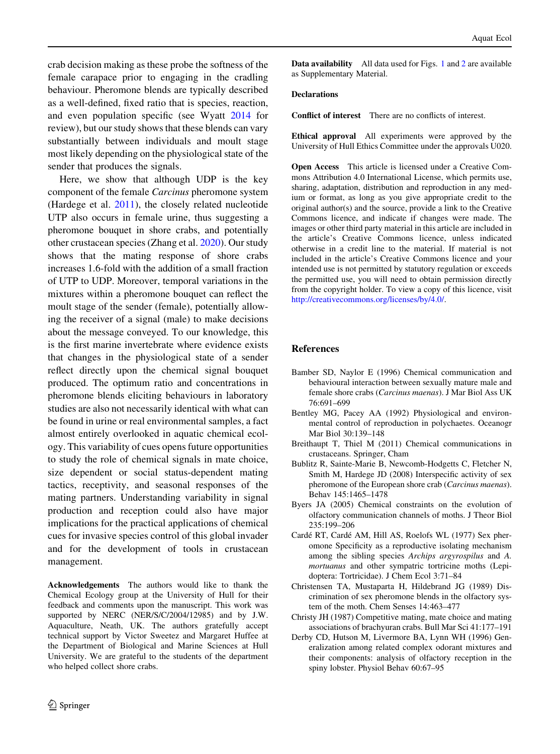<span id="page-7-0"></span>crab decision making as these probe the softness of the female carapace prior to engaging in the cradling behaviour. Pheromone blends are typically described as a well-defined, fixed ratio that is species, reaction, and even population specific (see Wyatt [2014](#page-8-0) for review), but our study shows that these blends can vary substantially between individuals and moult stage most likely depending on the physiological state of the sender that produces the signals.

Here, we show that although UDP is the key component of the female Carcinus pheromone system (Hardege et al. [2011\)](#page-8-0), the closely related nucleotide UTP also occurs in female urine, thus suggesting a pheromone bouquet in shore crabs, and potentially other crustacean species (Zhang et al. [2020\)](#page-8-0). Our study shows that the mating response of shore crabs increases 1.6-fold with the addition of a small fraction of UTP to UDP. Moreover, temporal variations in the mixtures within a pheromone bouquet can reflect the moult stage of the sender (female), potentially allowing the receiver of a signal (male) to make decisions about the message conveyed. To our knowledge, this is the first marine invertebrate where evidence exists that changes in the physiological state of a sender reflect directly upon the chemical signal bouquet produced. The optimum ratio and concentrations in pheromone blends eliciting behaviours in laboratory studies are also not necessarily identical with what can be found in urine or real environmental samples, a fact almost entirely overlooked in aquatic chemical ecology. This variability of cues opens future opportunities to study the role of chemical signals in mate choice, size dependent or social status-dependent mating tactics, receptivity, and seasonal responses of the mating partners. Understanding variability in signal production and reception could also have major implications for the practical applications of chemical cues for invasive species control of this global invader and for the development of tools in crustacean management.

Acknowledgements The authors would like to thank the Chemical Ecology group at the University of Hull for their feedback and comments upon the manuscript. This work was supported by NERC (NER/S/C/2004/12985) and by J.W. Aquaculture, Neath, UK. The authors gratefully accept technical support by Victor Sweetez and Margaret Huffee at the Department of Biological and Marine Sciences at Hull University. We are grateful to the students of the department who helped collect shore crabs.

Data availability All data used for Figs. [1](#page-4-0) and [2](#page-4-0) are available as Supplementary Material.

#### Declarations

Conflict of interest There are no conflicts of interest.

Ethical approval All experiments were approved by the University of Hull Ethics Committee under the approvals U020.

Open Access This article is licensed under a Creative Commons Attribution 4.0 International License, which permits use, sharing, adaptation, distribution and reproduction in any medium or format, as long as you give appropriate credit to the original author(s) and the source, provide a link to the Creative Commons licence, and indicate if changes were made. The images or other third party material in this article are included in the article's Creative Commons licence, unless indicated otherwise in a credit line to the material. If material is not included in the article's Creative Commons licence and your intended use is not permitted by statutory regulation or exceeds the permitted use, you will need to obtain permission directly from the copyright holder. To view a copy of this licence, visit <http://creativecommons.org/licenses/by/4.0/>.

#### References

- Bamber SD, Naylor E (1996) Chemical communication and behavioural interaction between sexually mature male and female shore crabs (Carcinus maenas). J Mar Biol Ass UK 76:691–699
- Bentley MG, Pacey AA (1992) Physiological and environmental control of reproduction in polychaetes. Oceanogr Mar Biol 30:139–148
- Breithaupt T, Thiel M (2011) Chemical communications in crustaceans. Springer, Cham
- Bublitz R, Sainte-Marie B, Newcomb-Hodgetts C, Fletcher N, Smith M, Hardege JD (2008) Interspecific activity of sex pheromone of the European shore crab (Carcinus maenas). Behav 145:1465–1478
- Byers JA (2005) Chemical constraints on the evolution of olfactory communication channels of moths. J Theor Biol 235:199–206
- Cardé RT, Cardé AM, Hill AS, Roelofs WL (1977) Sex pheromone Specificity as a reproductive isolating mechanism among the sibling species Archips argyrospilus and A. mortuanus and other sympatric tortricine moths (Lepidoptera: Tortricidae). J Chem Ecol 3:71–84
- Christensen TA, Mustaparta H, Hildebrand JG (1989) Discrimination of sex pheromone blends in the olfactory system of the moth. Chem Senses 14:463–477
- Christy JH (1987) Competitive mating, mate choice and mating associations of brachyuran crabs. Bull Mar Sci 41:177–191
- Derby CD, Hutson M, Livermore BA, Lynn WH (1996) Generalization among related complex odorant mixtures and their components: analysis of olfactory reception in the spiny lobster. Physiol Behav 60:67–95